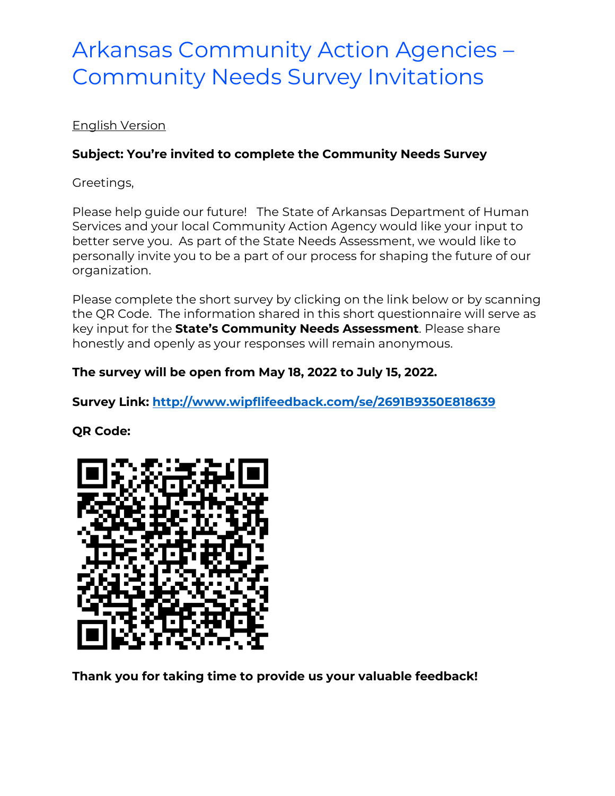# Arkansas Community Action Agencies – Community Needs Survey Invitations

## English Version

## **Subject: You're invited to complete the Community Needs Survey**

Greetings,

Please help guide our future! The State of Arkansas Department of Human Services and your local Community Action Agency would like your input to better serve you. As part of the State Needs Assessment, we would like to personally invite you to be a part of our process for shaping the future of our organization.

Please complete the short survey by clicking on the link below or by scanning the QR Code. The information shared in this short questionnaire will serve as key input for the **State's Community Needs Assessment**. Please share honestly and openly as your responses will remain anonymous.

## **The survey will be open from May 18, 2022 to July 15, 2022.**

**Survey Link:<http://www.wipflifeedback.com/se/2691B9350E818639>**

#### **QR Code:**



**Thank you for taking time to provide us your valuable feedback!**